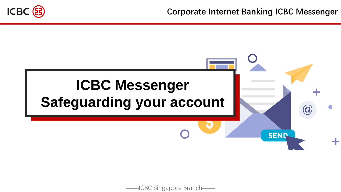

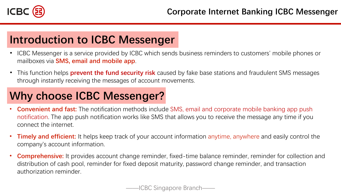

# **Introduction to ICBC Messenger**

- ICBC Messenger is a service provided by ICBC which sends business reminders to customers' mobile phones or mailboxes via **SMS, email and mobile app**.
- This function helps **prevent the fund security risk** caused by fake base stations and fraudulent SMS messages through instantly receiving the messages of account movements.

# **Why choose ICBC Messenger?**

- **Convenient and fast:** The notification methods include SMS, email and corporate mobile banking app push notification. The app push notification works like SMS that allows you to receive the message any time if you connect the internet.
- **Timely and efficient:** It helps keep track of your account information anytime, anywhere and easily control the company's account information.
- **Comprehensive:** It provides account change reminder, fixed-time balance reminder, reminder for collection and distribution of cash pool, reminder for fixed deposit maturity, password change reminder, and transaction authorization reminder.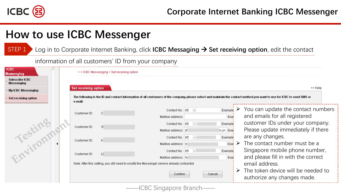

Log in to Corporate Internet Banking, click **ICBC Messaging** → **Set receiving option**, edit the contact STEP 1

#### information of all customers' ID from your company

| <b>ICBC</b><br>Messenging    |                                                              | > > ICBC Messenging > Set receiving option |                                                                                                                                                                                                                                                                             |                                                                                         |                                                                                                                                                                                                                                                                                                                                                                                    |
|------------------------------|--------------------------------------------------------------|--------------------------------------------|-----------------------------------------------------------------------------------------------------------------------------------------------------------------------------------------------------------------------------------------------------------------------------|-----------------------------------------------------------------------------------------|------------------------------------------------------------------------------------------------------------------------------------------------------------------------------------------------------------------------------------------------------------------------------------------------------------------------------------------------------------------------------------|
| Subscribe ICBC<br>Messenging |                                                              |                                            |                                                                                                                                                                                                                                                                             |                                                                                         |                                                                                                                                                                                                                                                                                                                                                                                    |
| My ICBC Messenging           | <b>Set receiving option</b>                                  |                                            |                                                                                                                                                                                                                                                                             |                                                                                         | >> Help                                                                                                                                                                                                                                                                                                                                                                            |
| Set receiving option         | e-mail:                                                      |                                            |                                                                                                                                                                                                                                                                             |                                                                                         | The following is the ID and contact information of all customers of the company, please select and maintain the contact method you want to use for ICBC to send SMS or                                                                                                                                                                                                             |
| Testing                      | Customer ID:<br>Customer ID:<br>Customer ID:<br>Customer ID: | $\circ$<br>Y£<br>$\Box$                    | Contact No.: 65<br>Mailbox address:<br>Contact No.: 65<br>Mailbox address:  zh<br>Contact No.: 65<br>Mailbox address: n<br>Contact No.: 65<br>Mailbox address: h<br>Note: After this setting, you still need to modify the Messenger service already contracted.<br>Confirm | Example<br>Exal<br>Example<br>m.cn Exai<br>Example<br>Exat<br>Example<br>Exar<br>Cancel | You can update the contact numbers<br>and emails for all registered<br>customer IDs under your company.<br>Please update immediately if there<br>are any changes.<br>The contact number must be a<br>Singapore mobile phone number,<br>and please fill in with the correct<br>email address.<br>$\triangleright$ The token device will be needed to<br>authorize any changes made. |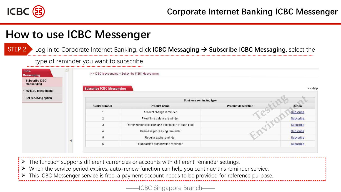

STEP 2

## **How to use ICBC Messenger**

Log in to Corporate Internet Banking, click **ICBC Messaging** → **Subscribe ICBC Messaging**, select the

#### type of reminder you want to subscribe

| <b>ICBC</b><br><b>Messenging</b>    | $\hat{\mathcal{A}}$ |                                  | >>ICBC Messenging > Subscribe ICBC Messenging         |                            |               |
|-------------------------------------|---------------------|----------------------------------|-------------------------------------------------------|----------------------------|---------------|
| Subscribe ICBC<br><b>Messenging</b> |                     |                                  |                                                       |                            |               |
| - My ICBC Messenging                |                     | <b>Subscribe ICBC Messenging</b> |                                                       |                            | >> Help       |
| - Set receiving option              |                     |                                  | <b>Business reminding type</b>                        |                            |               |
|                                     |                     | <b>Serial number</b>             | <b>Product name</b>                                   | <b>Product description</b> | <b>Action</b> |
|                                     |                     |                                  | Account change reminder                               |                            | Subscribe     |
|                                     |                     | $\overline{2}$                   | Fixed-time balance reminder                           |                            | Subscribe     |
|                                     |                     | 3                                | Reminder for collection and distribution of cash pool |                            | Subscribe     |
|                                     |                     |                                  | Business processing reminder                          |                            | Subscribe     |
|                                     |                     | 5                                | Regular expiry reminder                               |                            | Subscribe     |
|                                     |                     | 6                                | Transaction authorization reminder                    |                            | Subscribe     |

➢ The function supports different currencies or accounts with different reminder settings.

- $\triangleright$  When the service period expires, auto-renew function can help you continue this reminder service.
- This ICBC Messenger service is free, a payment account needs to be provided for reference purpose..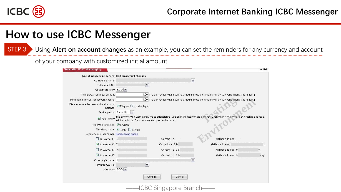

STEP 3

### **How to use ICBC Messenger**

Using **Alert on account changes** as an example, you can set the reminders for any currency and account

of your company with customized initial amount

| Type of messenging service: Alert on account changes |                                                                 |                                                                                                                                    |                     |     |
|------------------------------------------------------|-----------------------------------------------------------------|------------------------------------------------------------------------------------------------------------------------------------|---------------------|-----|
| Company's name:                                      |                                                                 | $\checkmark$                                                                                                                       |                     |     |
| Subscribed A/C:                                      | $\boldsymbol{\mathsf{v}}$                                       |                                                                                                                                    |                     |     |
| Custom currency: SGD                                 |                                                                 |                                                                                                                                    |                     |     |
| Withdrawal reminder amount:                          |                                                                 | 1.00 The transaction with incurring amount above the amount will be subject to financial reminding                                 |                     |     |
|                                                      |                                                                 |                                                                                                                                    |                     |     |
| Reminding amount for account posting:                |                                                                 | 1.00 The transaction with incurring amount above the amount will be subject to financial reminding                                 |                     |     |
| Display transaction amount and account<br>balance:   | O Display O Not displayed                                       |                                                                                                                                    |                     |     |
| Service period: 1 month                              |                                                                 |                                                                                                                                    |                     |     |
| Receiving language: ⊙English                         | Auto-renew: will be deducted from the specified payment account | The system will automatically make extension for you upon the expiry of the services. Each extension period is one month, and fees |                     |     |
|                                                      | Receiving mode: ☑ SMS □ E-mail                                  |                                                                                                                                    |                     |     |
| Receiving number / email: Set receiving option       |                                                                 |                                                                                                                                    |                     |     |
| $\Box$ Customer ID: C                                |                                                                 | Contact No.: -                                                                                                                     | Mailbox address: -  |     |
| Customer ID: Y                                       |                                                                 | Contact No.: 65-                                                                                                                   | Mailbox address:    |     |
| Customer ID: K                                       |                                                                 | Contact No.: 65-                                                                                                                   | Mailbox address: m  | n   |
| Customer ID: L                                       |                                                                 | Contact No.: 65-                                                                                                                   | Mailbox address: ht | .sg |
| Company's name: If                                   |                                                                 | $\checkmark$                                                                                                                       |                     |     |
| Payment A/C No.:                                     | $\checkmark$                                                    |                                                                                                                                    |                     |     |
| Currency: SGD V                                      |                                                                 |                                                                                                                                    |                     |     |
|                                                      |                                                                 | Confirm<br>Cancel                                                                                                                  |                     |     |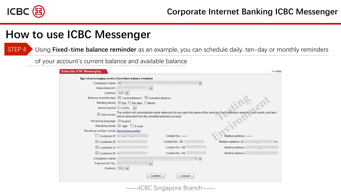

Using **Fixed-time balance reminder** as an example, you can schedule daily, ten-day or monthly reminders STEP 4

of your account's current balance and available balance

|                                                |                                                                 | Type of messenging service: Fixed-time balance reminder |                                                                                                                                    | $\overline{\mathbf{v}}$ |                     |  |
|------------------------------------------------|-----------------------------------------------------------------|---------------------------------------------------------|------------------------------------------------------------------------------------------------------------------------------------|-------------------------|---------------------|--|
| Company's name: IN                             |                                                                 |                                                         |                                                                                                                                    |                         |                     |  |
| Subscribed A/C: [                              |                                                                 | $\boldsymbol{\mathsf{v}}$                               |                                                                                                                                    |                         |                     |  |
|                                                | Currency: SGD V                                                 |                                                         |                                                                                                                                    |                         |                     |  |
|                                                | Balance reminder type: 2 Current Balance 2 Available Balance    |                                                         |                                                                                                                                    |                         |                     |  |
|                                                | Sending period: ⊙ Day O Ten days O Month                        |                                                         |                                                                                                                                    |                         |                     |  |
|                                                | Service period: 6 months v                                      |                                                         |                                                                                                                                    |                         |                     |  |
|                                                | Auto-renew: will be deducted from the specified payment account |                                                         | The system will automatically make extension for you upon the expiry of the services. Each extension period is one month, and fees |                         |                     |  |
| Receiving language: ⊙ English                  |                                                                 |                                                         |                                                                                                                                    |                         |                     |  |
|                                                |                                                                 |                                                         |                                                                                                                                    |                         |                     |  |
|                                                | Receiving mode: Ø SMS DE-mail                                   |                                                         |                                                                                                                                    |                         |                     |  |
| Receiving number / email: Set receiving option |                                                                 |                                                         |                                                                                                                                    |                         |                     |  |
| Customer ID: C                                 |                                                                 |                                                         | Contact No.: -                                                                                                                     |                         | Mailbox address:    |  |
| Customer ID: Y                                 |                                                                 |                                                         | Contact No.: 65-                                                                                                                   |                         | Mailbox address: zh |  |
| Customer ID: K                                 |                                                                 |                                                         | Contact No.: 65-                                                                                                                   |                         | Mailbox address:    |  |
| Customer ID: L                                 |                                                                 |                                                         | Contact No.: 65-                                                                                                                   |                         | Mailbox address:    |  |
| Company's name:                                |                                                                 |                                                         | D V                                                                                                                                |                         |                     |  |
| Payment A/C No.: [                             |                                                                 | $\checkmark$                                            |                                                                                                                                    |                         |                     |  |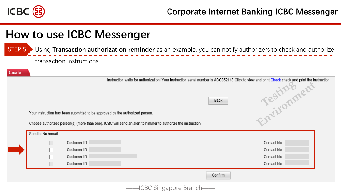

Using **Transaction authorization reminder** as an example, you can notify authorizers to check and authorize STEP 5

#### transaction instructions

Create

RESERVED OF THE RESERVED OF THE RESERVED OF THE RESERVED OF THE RESERVED OF THE RESERVED OF THE RESERVED OF THE RESERVED OF THE RESERVED OF THE RESERVED OF THE RESERVED OF THE RESERVED OF THE RESERVED OF THE RESERVED OF TH Instruction waits for authorization! Your instruction serial number is ACC852118 Click to view and print Check check and print the instruction

Back

Your instruction has been submitted to be approved by the authorized person.

Choose authorized person(s) (more than one). ICBC will send an alert to him/her to authorize the instruction.

| Send to No./email: |              |         |              |
|--------------------|--------------|---------|--------------|
|                    | Customer ID: |         | Contact No.: |
|                    | Customer ID: |         | Contact No.: |
|                    | Customer ID: |         | Contact No.: |
|                    | Customer ID: |         | Contact No.: |
|                    |              | Confirm |              |
|                    |              |         |              |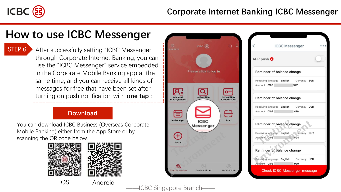

STEP<sub>6</sub>

After successfully setting "ICBC Messenger" through Corporate Internet Banking, you can use the "ICBC Messenger" service embedded in the Corporate Mobile Banking app at the same time, and you can receive all kinds of messages for free that have been set after turning on push notification with **one tap** :

#### **Download**

You can download ICBC Business (Overseas Corporate Mobile Banking) either from the App Store or by scanning the QR code below.



IOS Android



**ICBC Messenger** APP push <sup>0</sup> Reminder of balance change Receiving language English Currency SGD Account 0103 922 Reminder of balance change Receiving language English Currency USD Account 0103 470 Reminder of balance change Receiving language English Currency CNY Account 0103 Reminder of balance change Receiving language English Currency USD Account 0103 989 **Check ICBC Messenger message** 

ICBC Singapore Branch-